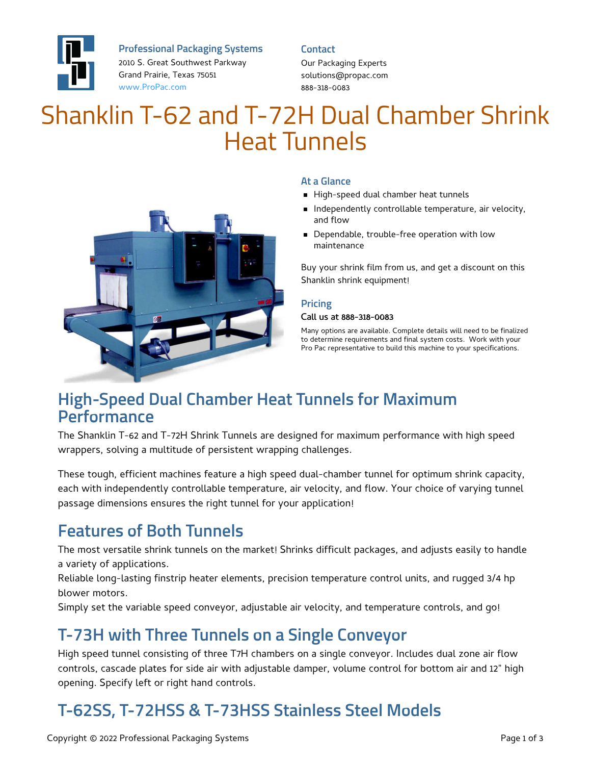

**Professional Packaging Systems**

2010 S. Great Southwest Parkway Grand Prairie, Texas 75051 [www.ProPac.com](https://www.propac.com/)

#### **Contact**

Our Packaging Experts solutions@propac.com 888-318-0083

# Shanklin T-62 and T-72H Dual Chamber Shrink Heat Tunnels



#### **At a Glance**

- High-speed dual chamber heat tunnels
- **Independently controllable temperature, air velocity,** and flow
- **Dependable, trouble-free operation with low** maintenance

Buy your shrink film from us, and get a discount on this Shanklin shrink equipment!

#### **Pricing**

#### Call us at 888-318-0083

Many options are available. Complete details will need to be finalized to determine requirements and final system costs. Work with your Pro Pac representative to build this machine to your specifications.

### **High-Speed Dual Chamber Heat Tunnels for Maximum Performance**

The Shanklin T-62 and T-72H Shrink Tunnels are designed for maximum performance with high speed wrappers, solving a multitude of persistent wrapping challenges.

These tough, efficient machines feature a high speed dual-chamber tunnel for optimum shrink capacity, each with independently controllable temperature, air velocity, and flow. Your choice of varying tunnel passage dimensions ensures the right tunnel for your application!

### **Features of Both Tunnels**

The most versatile shrink tunnels on the market! Shrinks difficult packages, and adjusts easily to handle a variety of applications.

Reliable long-lasting finstrip heater elements, precision temperature control units, and rugged 3/4 hp blower motors.

Simply set the variable speed conveyor, adjustable air velocity, and temperature controls, and go!

### **T-73H with Three Tunnels on a Single Conveyor**

High speed tunnel consisting of three T7H chambers on a single conveyor. Includes dual zone air flow controls, cascade plates for side air with adjustable damper, volume control for bottom air and 12" high opening. Specify left or right hand controls.

## **T-62SS, T-72HSS & T-73HSS Stainless Steel Models**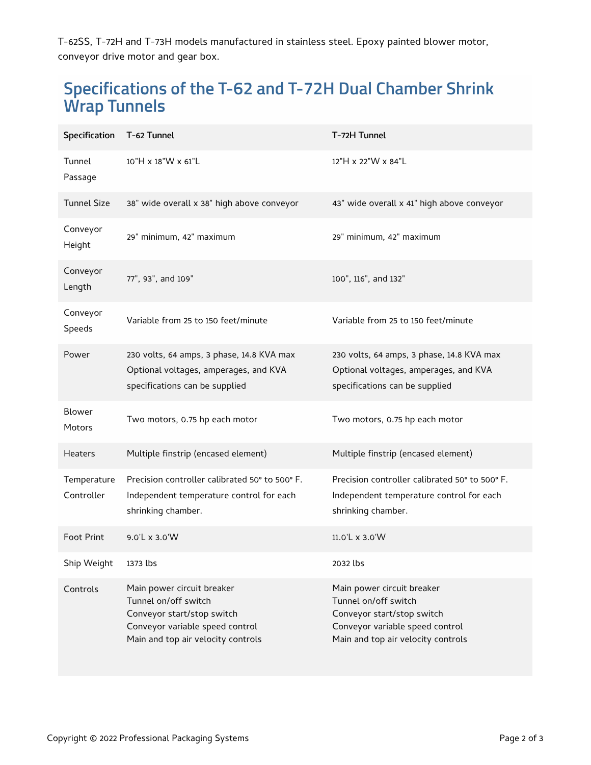T-62SS, T-72H and T-73H models manufactured in stainless steel. Epoxy painted blower motor, conveyor drive motor and gear box.

### **Specifications of the T-62 and T-72H Dual Chamber Shrink Wrap Tunnels**

| Specification T-62 Tunnel |                                                                                                                                                           | T-72H Tunnel                                                                                                                                              |
|---------------------------|-----------------------------------------------------------------------------------------------------------------------------------------------------------|-----------------------------------------------------------------------------------------------------------------------------------------------------------|
| Tunnel<br>Passage         | 10"H x 18"W x 61"L                                                                                                                                        | 12"H x 22"W x 84"L                                                                                                                                        |
| <b>Tunnel Size</b>        | 38" wide overall x 38" high above conveyor                                                                                                                | 43" wide overall x 41" high above conveyor                                                                                                                |
| Conveyor<br>Height        | 29" minimum, 42" maximum                                                                                                                                  | 29" minimum, 42" maximum                                                                                                                                  |
| Conveyor<br>Length        | 77", 93", and 109"                                                                                                                                        | 100", 116", and 132"                                                                                                                                      |
| Conveyor<br>Speeds        | Variable from 25 to 150 feet/minute                                                                                                                       | Variable from 25 to 150 feet/minute                                                                                                                       |
| Power                     | 230 volts, 64 amps, 3 phase, 14.8 KVA max<br>Optional voltages, amperages, and KVA<br>specifications can be supplied                                      | 230 volts, 64 amps, 3 phase, 14.8 KVA max<br>Optional voltages, amperages, and KVA<br>specifications can be supplied                                      |
| Blower<br><b>Motors</b>   | Two motors, 0.75 hp each motor                                                                                                                            | Two motors, 0.75 hp each motor                                                                                                                            |
| <b>Heaters</b>            | Multiple finstrip (encased element)                                                                                                                       | Multiple finstrip (encased element)                                                                                                                       |
| Temperature<br>Controller | Precision controller calibrated 50° to 500° F.<br>Independent temperature control for each<br>shrinking chamber.                                          | Precision controller calibrated 50° to 500° F.<br>Independent temperature control for each<br>shrinking chamber.                                          |
| <b>Foot Print</b>         | 9.0'L x 3.0'W                                                                                                                                             | $11.0'$ L x 3.0'W                                                                                                                                         |
| Ship Weight               | 1373 lbs                                                                                                                                                  | 2032 lbs                                                                                                                                                  |
| Controls                  | Main power circuit breaker<br>Tunnel on/off switch<br>Conveyor start/stop switch<br>Conveyor variable speed control<br>Main and top air velocity controls | Main power circuit breaker<br>Tunnel on/off switch<br>Conveyor start/stop switch<br>Conveyor variable speed control<br>Main and top air velocity controls |